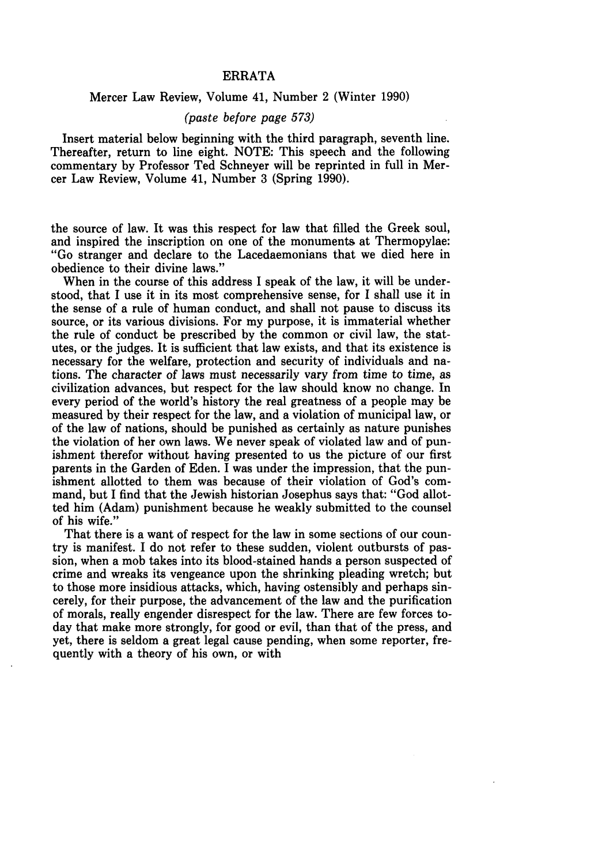## ERRATA

## Mercer Law Review, Volume 41, Number 2 (Winter 1990)

## *(paste before page 573)*

Insert material below beginning with the third paragraph, seventh line. Thereafter, return to line eight. NOTE: This speech and the following commentary by Professor Ted Schneyer will be reprinted in full in Mercer Law Review, Volume 41, Number 3 (Spring 1990).

the source of law. It was this respect for law that filled the Greek soul, and inspired the inscription on one of the monuments at Thermopylae: "Go stranger and declare to the Lacedaemonians that we died here in obedience to their divine laws."

When in the course of this address I speak of the law, it will be understood, that I use it in its most comprehensive sense, for I shall use it in the sense of a rule of human conduct, and shall not pause to discuss its source, or its various divisions. For my purpose, it is immaterial whether the rule of conduct be prescribed by the common or civil law, the statutes, or the judges. It is sufficient that law exists, and that its existence is necessary for the welfare, protection and security of individuals and nations. The character of laws must necessarily vary from time to time, as civilization advances, but respect for the law should know no change. In every period of the world's history the real greatness of a people may be measured by their respect for the law, and a violation of municipal law, or of the law of nations, should be punished as certainly as nature punishes the violation of her own laws. We never speak of violated law and of punishment therefor without having presented to us the picture of our first parents in the Garden of Eden. I was under the impression, that the punishment allotted to them was because of their violation of God's command, but I find that the Jewish historian Josephus says that: "God allotted him (Adam) punishment because he weakly submitted to the counsel of his wife."

That there is a want of respect for the law in some sections of our country is manifest. I do not refer to these sudden, violent outbursts of passion, when a mob takes into its blood-stained hands a person suspected of crime and wreaks its vengeance upon the shrinking pleading wretch; but to those more insidious attacks, which, having ostensibly and perhaps sincerely, for their purpose, the advancement of the law and the purification of morals, really engender disrespect for the law. There are few forces today that make more strongly, for good or evil, than that of the press, and yet, there is seldom a great legal cause pending, when some reporter, frequently with a theory of his own, or with